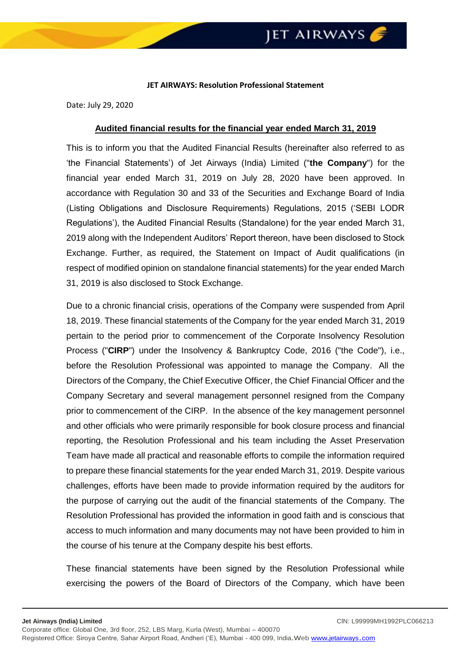## **JET AIRWAYS: Resolution Professional Statement**

Date: July 29, 2020

## **Audited financial results for the financial year ended March 31, 2019**

This is to inform you that the Audited Financial Results (hereinafter also referred to as 'the Financial Statements') of Jet Airways (India) Limited ("**the Company**") for the financial year ended March 31, 2019 on July 28, 2020 have been approved. In accordance with Regulation 30 and 33 of the Securities and Exchange Board of India (Listing Obligations and Disclosure Requirements) Regulations, 2015 ('SEBI LODR Regulations'), the Audited Financial Results (Standalone) for the year ended March 31, 2019 along with the Independent Auditors' Report thereon, have been disclosed to Stock Exchange. Further, as required, the Statement on Impact of Audit qualifications (in respect of modified opinion on standalone financial statements) for the year ended March 31, 2019 is also disclosed to Stock Exchange.

Due to a chronic financial crisis, operations of the Company were suspended from April 18, 2019. These financial statements of the Company for the year ended March 31, 2019 pertain to the period prior to commencement of the Corporate Insolvency Resolution Process ("**CIRP**") under the Insolvency & Bankruptcy Code, 2016 ("the Code"), i.e., before the Resolution Professional was appointed to manage the Company. All the Directors of the Company, the Chief Executive Officer, the Chief Financial Officer and the Company Secretary and several management personnel resigned from the Company prior to commencement of the CIRP. In the absence of the key management personnel and other officials who were primarily responsible for book closure process and financial reporting, the Resolution Professional and his team including the Asset Preservation Team have made all practical and reasonable efforts to compile the information required to prepare these financial statements for the year ended March 31, 2019. Despite various challenges, efforts have been made to provide information required by the auditors for the purpose of carrying out the audit of the financial statements of the Company. The Resolution Professional has provided the information in good faith and is conscious that access to much information and many documents may not have been provided to him in the course of his tenure at the Company despite his best efforts.

These financial statements have been signed by the Resolution Professional while exercising the powers of the Board of Directors of the Company, which have been